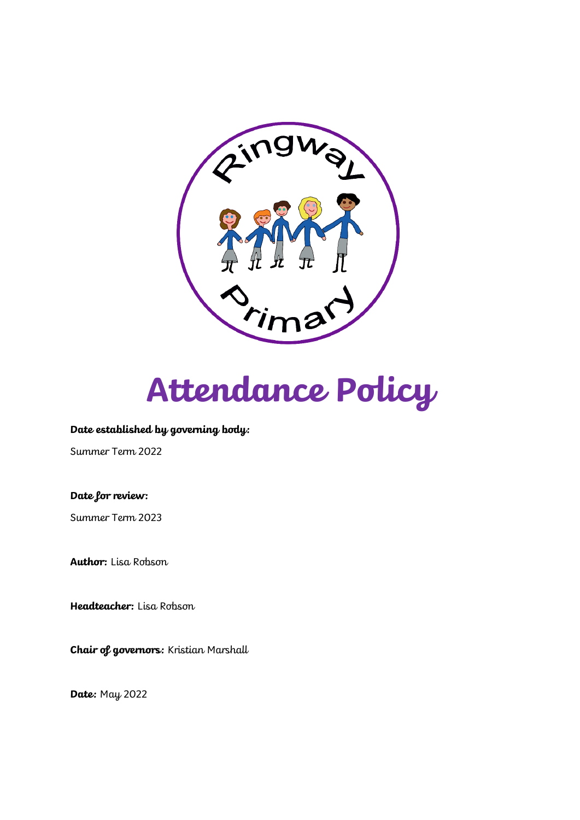



#### **Date established by governing body:**

Summer Term 2022

**Date for review:**

Summer Term 2023

**Author:** Lisa Robson

**Headteacher:** Lisa Robson

**Chair of governors:** Kristian Marshall

**Date:** May 2022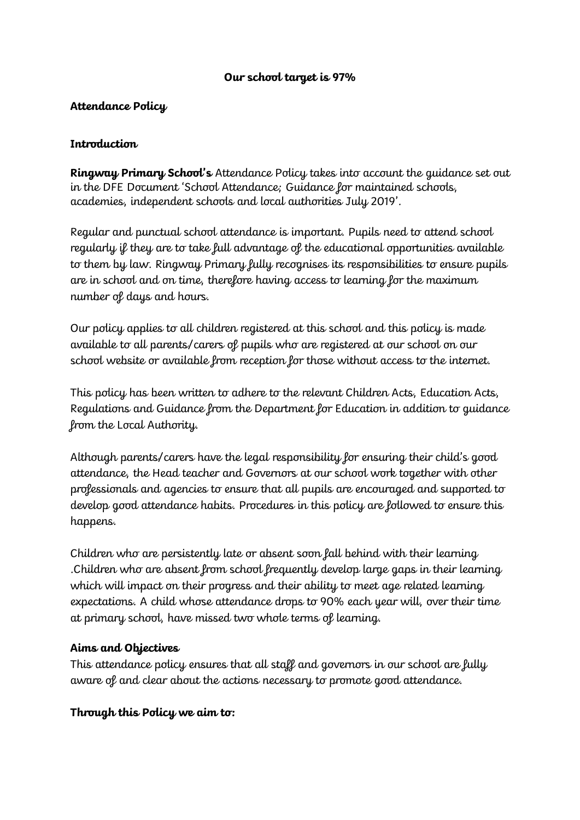## **Our school target is 97%**

## **Attendance Policy**

## **Introduction**

**Ringway Primary School's** Attendance Policy takes into account the guidance set out in the DFE Document 'School Attendance; Guidance for maintained schools, academies, independent schools and local authorities July 2019'.

Regular and punctual school attendance is important. Pupils need to attend school regularly if they are to take full advantage of the educational opportunities available to them by law. Ringway Primary fully recognises its responsibilities to ensure pupils are in school and on time, therefore having access to learning for the maximum number of days and hours.

Our policy applies to all children registered at this school and this policy is made available to all parents/carers of pupils who are registered at our school on our school website or available from reception for those without access to the internet.

This policy has been written to adhere to the relevant Children Acts, Education Acts, Regulations and Guidance from the Department for Education in addition to guidance from the Local Authority.

Although parents/carers have the legal responsibility for ensuring their child's good attendance, the Head teacher and Governors at our school work together with other professionals and agencies to ensure that all pupils are encouraged and supported to develop good attendance habits. Procedures in this policy are followed to ensure this happens.

Children who are persistently late or absent soon fall behind with their learning .Children who are absent from school frequently develop large gaps in their learning which will impact on their progress and their ability to meet age related learning expectations. A child whose attendance drops to 90% each year will, over their time at primary school, have missed two whole terms of learning.

## **Aims and Objectives**

This attendance policy ensures that all staff and governors in our school are fully aware of and clear about the actions necessary to promote good attendance.

## **Through this Policy we aim to:**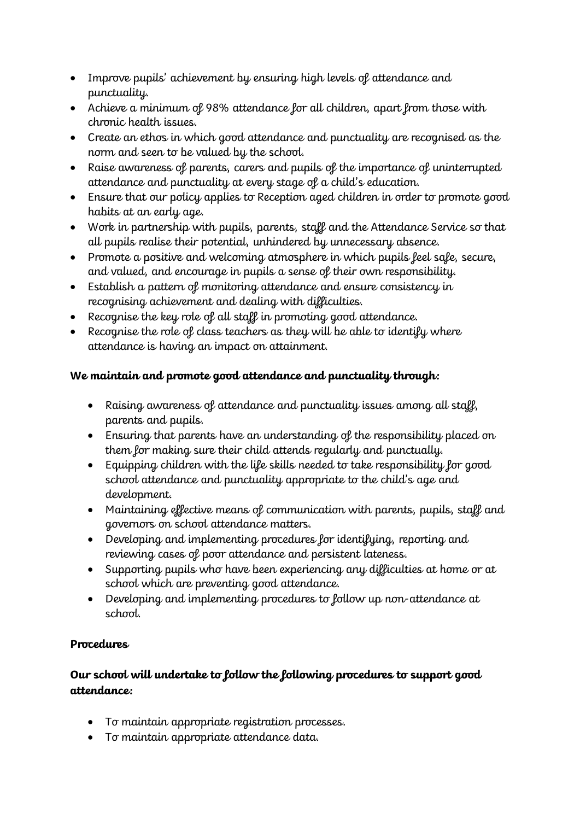- Improve pupils' achievement by ensuring high levels of attendance and punctuality.
- Achieve a minimum of 98% attendance for all children, apart from those with chronic health issues.
- Create an ethos in which good attendance and punctuality are recognised as the norm and seen to be valued by the school.
- Raise awareness of parents, carers and pupils of the importance of uninterrupted attendance and punctuality at every stage of a child's education.
- Ensure that our policy applies to Reception aged children in order to promote good habits at an early age.
- Work in partnership with pupils, parents, staff and the Attendance Service so that all pupils realise their potential, unhindered by unnecessary absence.
- Promote a positive and welcoming atmosphere in which pupils feel safe, secure, and valued, and encourage in pupils a sense of their own responsibility.
- Establish a pattern of monitoring attendance and ensure consistency in recognising achievement and dealing with difficulties.
- Recognise the key role of all staff in promoting good attendance.
- Recognise the role of class teachers as they will be able to identify where attendance is having an impact on attainment.

# **We maintain and promote good attendance and punctuality through:**

- Raising awareness of attendance and punctuality issues among all staff, parents and pupils.
- Ensuring that parents have an understanding of the responsibility placed on them for making sure their child attends regularly and punctually.
- Equipping children with the life skills needed to take responsibility for good school attendance and punctuality appropriate to the child's age and development.
- Maintaining effective means of communication with parents, pupils, staff and governors on school attendance matters.
- Developing and implementing procedures for identifying, reporting and reviewing cases of poor attendance and persistent lateness.
- Supporting pupils who have been experiencing any difficulties at home or at school which are preventing good attendance.
- Developing and implementing procedures to follow up non-attendance at school.

# **Procedures**

# **Our school will undertake to follow the following procedures to support good attendance:**

- To maintain appropriate registration processes.
- To maintain appropriate attendance data.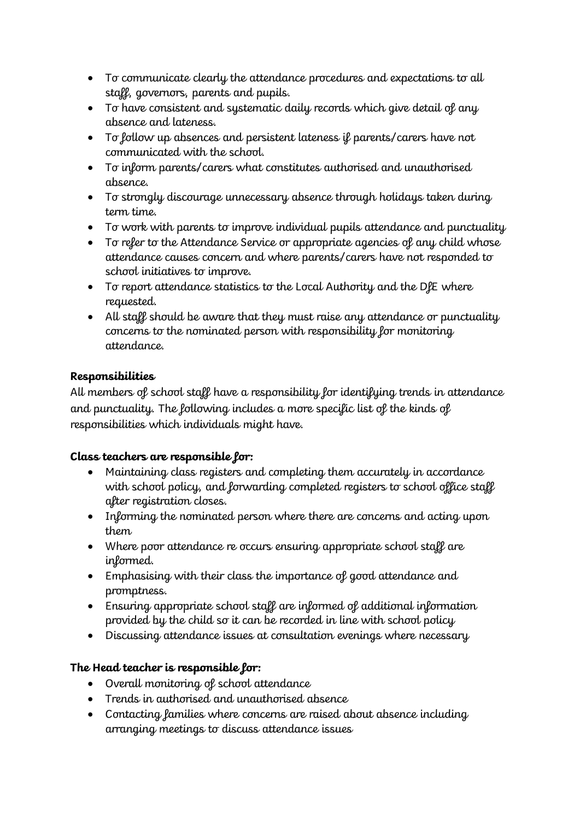- To communicate clearly the attendance procedures and expectations to all staff, governors, parents and pupils.
- To have consistent and systematic daily records which give detail of any absence and lateness.
- To follow up absences and persistent lateness if parents/carers have not communicated with the school.
- To inform parents/carers what constitutes authorised and unauthorised absence.
- To strongly discourage unnecessary absence through holidays taken during term time.
- To work with parents to improve individual pupils attendance and punctuality
- To refer to the Attendance Service or appropriate agencies of any child whose attendance causes concern and where parents/carers have not responded to school initiatives to improve.
- To report attendance statistics to the Local Authority and the DfE where requested.
- All staff should be aware that they must raise any attendance or punctuality concerns to the nominated person with responsibility for monitoring attendance.

## **Responsibilities**

All members of school staff have a responsibility for identifying trends in attendance and punctuality. The following includes a more specific list of the kinds of responsibilities which individuals might have.

## **Class teachers are responsible for:**

- Maintaining class registers and completing them accurately in accordance with school policy, and forwarding completed registers to school office staff after registration closes.
- Informing the nominated person where there are concerns and acting upon them
- Where poor attendance re occurs ensuring appropriate school staff are informed.
- Emphasising with their class the importance of good attendance and promptness.
- Ensuring appropriate school staff are informed of additional information provided by the child so it can be recorded in line with school policy
- Discussing attendance issues at consultation evenings where necessary

# **The Head teacher is responsible for:**

- Overall monitoring of school attendance
- Trends in authorised and unauthorised absence
- Contacting lamilies where concerns are raised about absence including arranging meetings to discuss attendance issues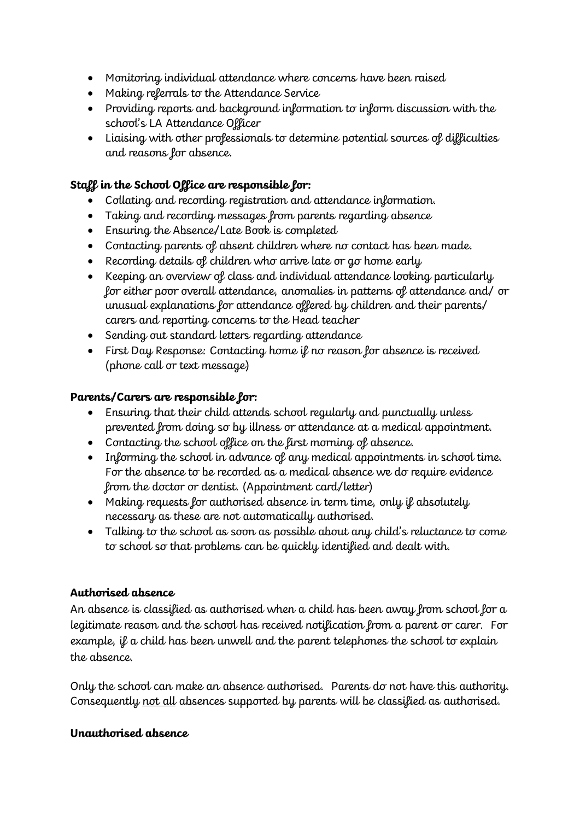- Monitoring individual attendance where concerns have been raised
- Making referrals to the Attendance Service
- Providing reports and background information to inform discussion with the school's LA Attendance Officer
- Liaising with other professionals to determine potential sources of difficulties and reasons for absence.

## **Staff in the School Office are responsible for:**

- Collating and recording registration and attendance information.
- Taking and recording messages from parents regarding absence
- Ensuring the Absence/Late Book is completed
- Contacting parents of absent children where no contact has been made.
- Recording details of children who arrive late or go home early
- Keeping an overview of class and individual attendance looking particularly for either poor overall attendance, anomalies in patterns of attendance and/ or unusual explanations for attendance offered by children and their parents/ carers and reporting concerns to the Head teacher
- Sending out standard letters regarding attendance
- First Day Response: Contacting home if no reason for absence is received (phone call or text message)

# **Parents/Carers are responsible for:**

- Ensuring that their child attends school regularly and punctually unless prevented from doing so by illness or attendance at a medical appointment.
- Contacting the school office on the first morning of absence.
- Informing the school in advance of any medical appointments in school time. For the absence to be recorded as a medical absence we do require evidence from the doctor or dentist. (Appointment card/letter)
- Making requests for authorised absence in term time, only if absolutely necessary as these are not automatically authorised.
- Talking to the school as soon as possible about any child's reluctance to come to school so that problems can be quickly identified and dealt with.

## **Authorised absence**

An absence is classified as authorised when a child has been away from school for a legitimate reason and the school has received notification from a parent or carer. For example, if a child has been unwell and the parent telephones the school to explain the absence.

Only the school can make an absence authorised. Parents do not have this authority. Consequently not all absences supported by parents will be classified as authorised.

## **Unauthorised absence**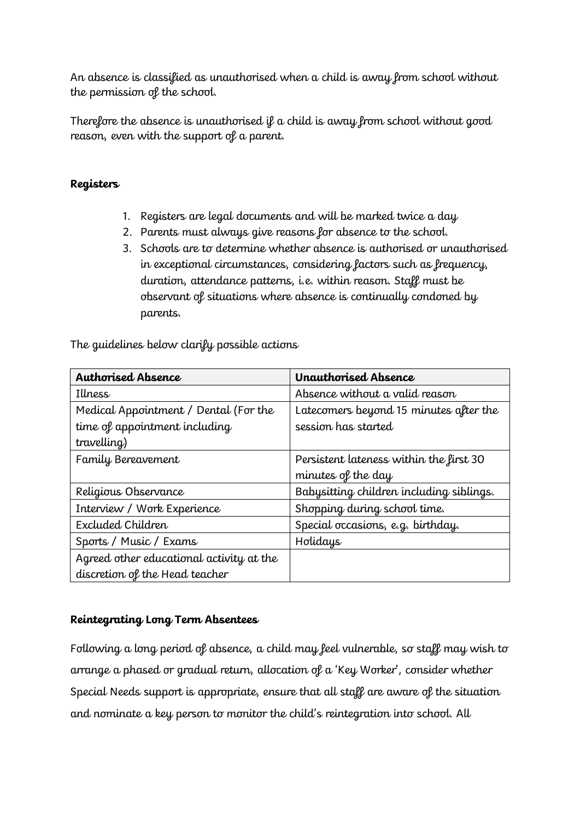An absence is classified as unauthorised when a child is away from school without the permission of the school.

Therefore the absence is unauthorised if a child is away from school without good reason, even with the support of a parent.

## **Registers**

- 1. Registers are legal documents and will be marked twice a day
- 2. Parents must always give reasons for absence to the school.
- 3. Schools are to determine whether absence is authorised or unauthorised in exceptional circumstances, considering factors such as frequency, duration, attendance patterns, i.e. within reason. Staff must be observant of situations where absence is continually condoned by parents.

The guidelines below clarify possible actions

| <b>Authorised Absence</b>                | Unauthorised Absence                     |
|------------------------------------------|------------------------------------------|
| Illness                                  | Absence without a valid reason           |
| Medical Appointment / Dental (For the    | Latecomers beyond 15 minutes after the   |
| time of appointment including            | session has started                      |
| travelling)                              |                                          |
| Family Bereavement                       | Persistent lateness within the first 30  |
|                                          | minutes of the day                       |
| Religious Observance                     | Babysitting children including siblings. |
| Interview / Work Experience              | Shopping during school time.             |
| Excluded Children                        | Special occasions, e.g. birthday.        |
| Sports / Music / Exams                   | Holidays                                 |
| Agreed other educational activity at the |                                          |
| discretion of the Head teacher           |                                          |

## **Reintegrating Long Term Absentees**

Following a long period of absence, a child may feel vulnerable, so staff may wish to arrange a phased or gradual return, allocation of a 'Key Worker', consider whether Special Needs support is appropriate, ensure that all staff are aware of the situation and nominate a key person to monitor the child's reintegration into school. All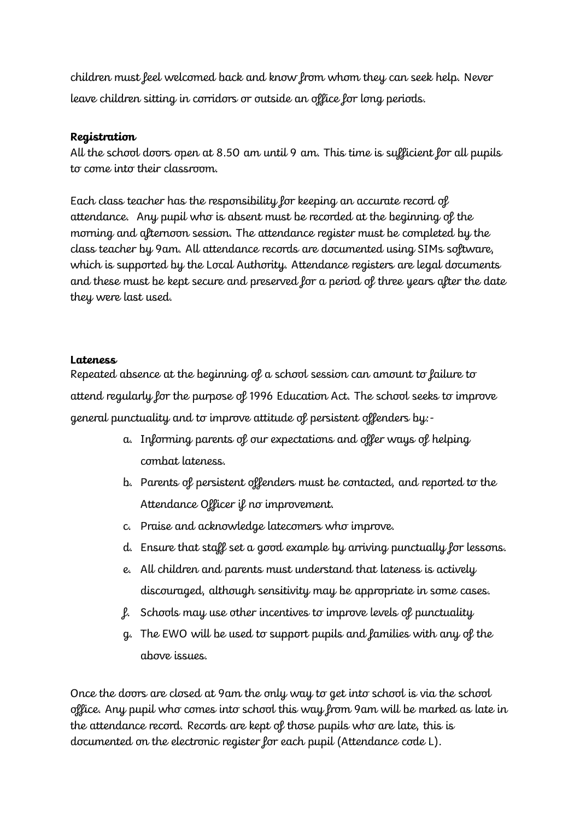children must feel welcomed back and know from whom they can seek help. Never leave children sitting in corridors or outside an office for long periods.

## **Registration**

All the school doors open at 8.50 am until 9 am. This time is sufficient for all pupils to come into their classroom.

Each class teacher has the responsibility for keeping an accurate record of attendance. Any pupil who is absent must be recorded at the beginning of the morning and afternoon session. The attendance register must be completed by the class teacher by 9am. All attendance records are documented using SIMs software, which is supported by the Local Authority. Attendance registers are legal documents and these must be kept secure and preserved for a period of three years after the date they were last used.

## **Lateness**

Repeated absence at the beginning of a school session can amount to failure to attend regularly for the purpose of 1996 Education Act. The school seeks to improve general punctuality and to improve attitude of persistent offenders by:-

- a. Informing parents of our expectations and offer ways of helping combat lateness.
- b. Parents of persistent offenders must be contacted, and reported to the Attendance Officer if no improvement.
- c. Praise and acknowledge latecomers who improve.
- d. Ensure that staff set a good example by arriving punctually for lessons.
- e. All children and parents must understand that lateness is actively discouraged, although sensitivity may be appropriate in some cases.
- f. Schools may use other incentives to improve levels of punctuality
- g. The EWO will be used to support pupils and families with any of the above issues.

Once the doors are closed at 9am the only way to get into school is via the school office. Any pupil who comes into school this way from 9am will be marked as late in the attendance record. Records are kept of those pupils who are late, this is documented on the electronic register for each pupil (Attendance code L).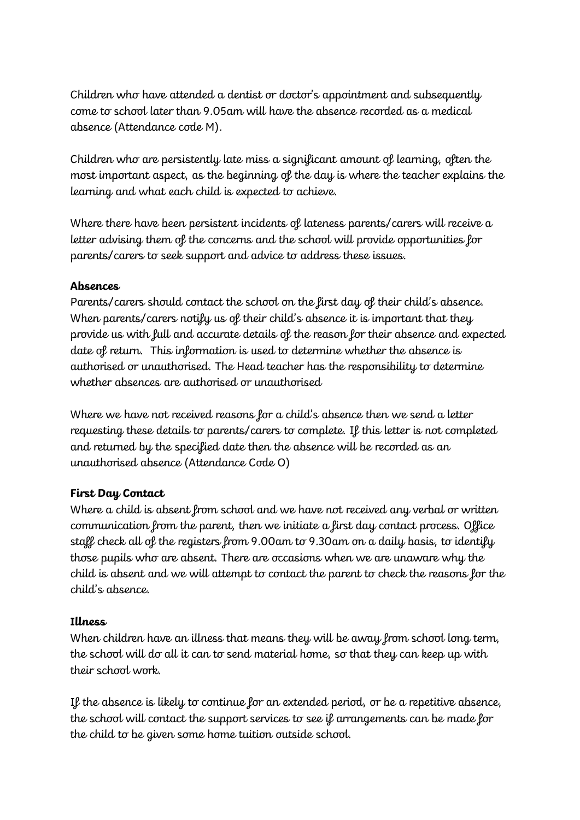Children who have attended a dentist or doctor's appointment and subsequently come to school later than 9.05am will have the absence recorded as a medical absence (Attendance code M).

Children who are persistently late miss a significant amount of learning, often the most important aspect, as the beginning of the day is where the teacher explains the learning and what each child is expected to achieve.

Where there have been persistent incidents of lateness parents/carers will receive a letter advising them of the concerns and the school will provide opportunities for parents/carers to seek support and advice to address these issues.

## **Absences**

Parents/carers should contact the school on the first day of their child's absence. When parents/carers notify us of their child's absence it is important that they provide us with full and accurate details of the reason for their absence and expected date of return. This information is used to determine whether the absence is authorised or unauthorised. The Head teacher has the responsibility to determine whether absences are authorised or unauthorised

Where we have not received reasons for a child's absence then we send a letter requesting these details to parents/carers to complete. If this letter is not completed and returned by the specified date then the absence will be recorded as an unauthorised absence (Attendance Code O)

## **First Day Contact**

Where a child is absent from school and we have not received any verbal or written communication from the parent, then we initiate a first day contact process. Office staff check all of the registers from 9.00am to 9.30am on a daily basis, to identify those pupils who are absent. There are occasions when we are unaware why the child is absent and we will attempt to contact the parent to check the reasons for the child's absence.

## **Illness**

When children have an illness that means they will be away from school long term, the school will do all it can to send material home, so that they can keep up with their school work.

If the absence is likely to continue for an extended period, or be a repetitive absence, the school will contact the support services to see if arrangements can be made for the child to be given some home tuition outside school.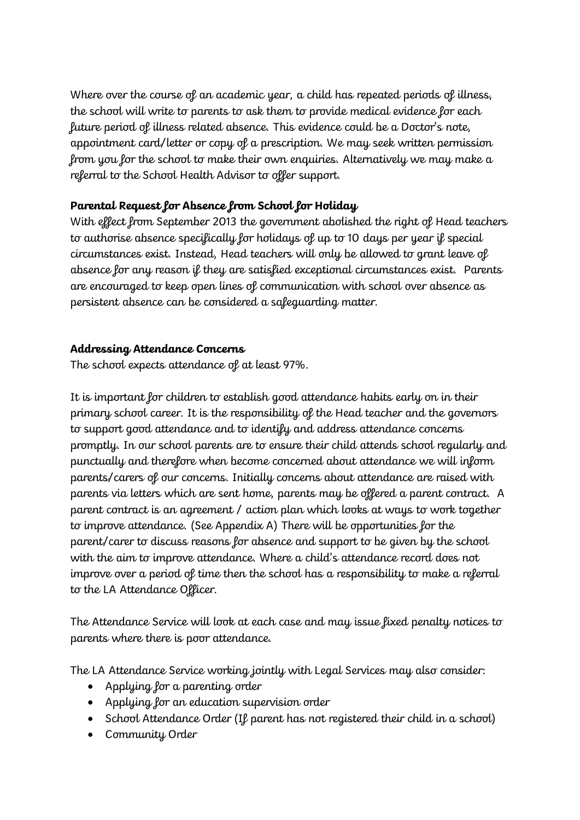Where over the course of an academic year, a child has repeated periods of illness, the school will write to parents to ask them to provide medical evidence for each future period of illness related absence. This evidence could be a Doctor's note, appointment card/letter or copy of a prescription. We may seek written permission from you for the school to make their own enquiries. Alternatively we may make a referral to the School Health Advisor to offer support.

# **Parental Request for Absence from School for Holiday**

With effect from September 2013 the government abolished the right of Head teachers to authorise absence specifically for holidays of up to 10 days per year if special circumstances exist. Instead, Head teachers will only be allowed to grant leave of absence for any reason if they are satisfied exceptional circumstances exist. Parents are encouraged to keep open lines of communication with school over absence as persistent absence can be considered a safeguarding matter.

# **Addressing Attendance Concerns**

The school expects attendance of at least 97%.

It is important for children to establish good attendance habits early on in their primary school career. It is the responsibility of the Head teacher and the governors to support good attendance and to identify and address attendance concerns promptly. In our school parents are to ensure their child attends school regularly and punctually and therefore when become concerned about attendance we will inform parents/carers of our concerns. Initially concerns about attendance are raised with parents via letters which are sent home, parents may be offered a parent contract. A parent contract is an agreement / action plan which looks at ways to work together to improve attendance. (See Appendix A) There will be opportunities for the parent/carer to discuss reasons for absence and support to be given by the school with the aim to improve attendance. Where a child's attendance record does not improve over a period of time then the school has a responsibility to make a referral to the LA Attendance Officer.

The Attendance Service will look at each case and may issue fixed penalty notices to parents where there is poor attendance.

The LA Attendance Service working jointly with Legal Services may also consider:

- Applying for a parenting order
- Applying for an education supervision order
- School Attendance Order (If parent has not registered their child in a school)
- Community Order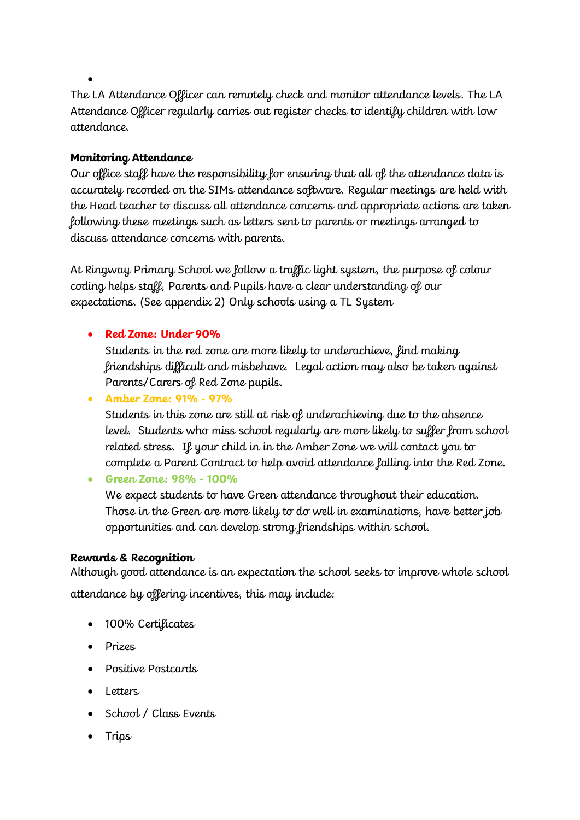The LA Attendance Officer can remotely check and monitor attendance levels. The LA Attendance Officer regularly carries out register checks to identify children with low attendance.

## **Monitoring Attendance**

•

Our office staff have the responsibility for ensuring that all of the attendance data is accurately recorded on the SIMs attendance software. Regular meetings are held with the Head teacher to discuss all attendance concerns and appropriate actions are taken following these meetings such as letters sent to parents or meetings arranged to discuss attendance concerns with parents.

At Ringway Primary School we follow a traffic light system, the purpose of colour coding helps staff, Parents and Pupils have a clear understanding of our expectations. (See appendix 2) Only schools using a TL System

• **Red Zone: Under 90%**

Students in the red zone are more likely to underachieve, find making friendships difficult and misbehave. Legal action may also be taken against Parents/Carers of Red Zone pupils.

• **Amber Zone: 91% - 97%**

Students in this zone are still at risk of underachieving due to the absence level. Students who miss school regularly are more likely to suffer from school related stress. If your child in in the Amber Zone we will contact you to complete a Parent Contract to help avoid attendance falling into the Red Zone.

• **Green Zone: 98% - 100%**

We expect students to have Green attendance throughout their education. Those in the Green are more likely to do well in examinations, have better job opportunities and can develop strong friendships within school.

## **Rewards & Recognition**

Although good attendance is an expectation the school seeks to improve whole school attendance by offering incentives, this may include:

- 100% Certificates
- Prizes
- Positive Postcards
- Letters
- School / Class Events
- Trips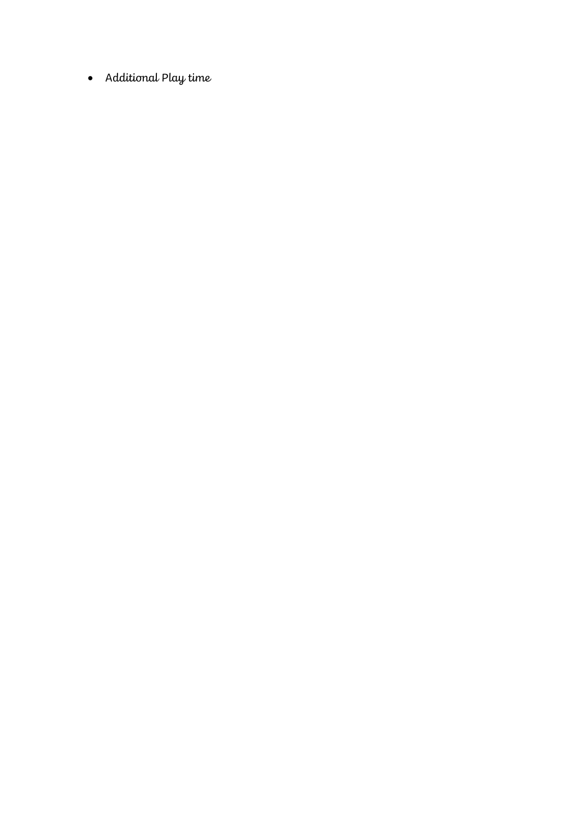• Additional Play time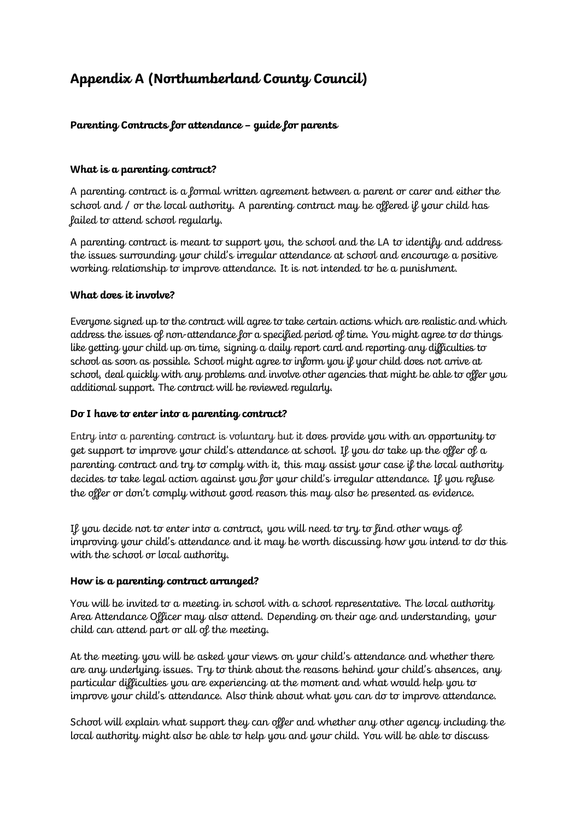# **Appendix A (Northumberland County Council)**

#### **Parenting Contracts for attendance – guide for parents**

#### **What is a parenting contract?**

A parenting contract is a formal written agreement between a parent or carer and either the school and / or the local authority. A parenting contract may be offered if your child has failed to attend school regularly.

A parenting contract is meant to support you, the school and the LA to identify and address the issues surrounding your child's irregular attendance at school and encourage a positive working relationship to improve attendance. It is not intended to be a punishment.

#### **What does it involve?**

Everyone signed up to the contract will agree to take certain actions which are realistic and which address the issues of non-attendance for a specified period of time. You might agree to do things like getting your child up on time, signing a daily report card and reporting any difficulties to school as soon as possible. School might agree to inform you if your child does not arrive at school, deal quickly with any problems and involve other agencies that might be able to offer you additional support. The contract will be reviewed regularly.

#### **Do I have to enter into a parenting contract?**

Entry into a parenting contract is voluntary but it does provide you with an opportunity to get support to improve your child's attendance at school. If you do take up the offer of a parenting contract and try to comply with it, this may assist your case if the local authority decides to take legal action against you for your child's irregular attendance. If you refuse the offer or don't comply without good reason this may also be presented as evidence.

If you decide not to enter into a contract, you will need to try to find other ways of improving your child's attendance and it may be worth discussing how you intend to do this with the school or local authority.

#### **How is a parenting contract arranged?**

You will be invited to a meeting in school with a school representative. The local authority Area Attendance Officer may also attend. Depending on their age and understanding, your child can attend part or all of the meeting.

At the meeting you will be asked your views on your child's attendance and whether there are any underlying issues. Try to think about the reasons behind your child's absences, any particular difficulties you are experiencing at the moment and what would help you to improve your child's attendance. Also think about what you can do to improve attendance.

School will explain what support they can offer and whether any other agency including the local authority might also be able to help you and your child. You will be able to discuss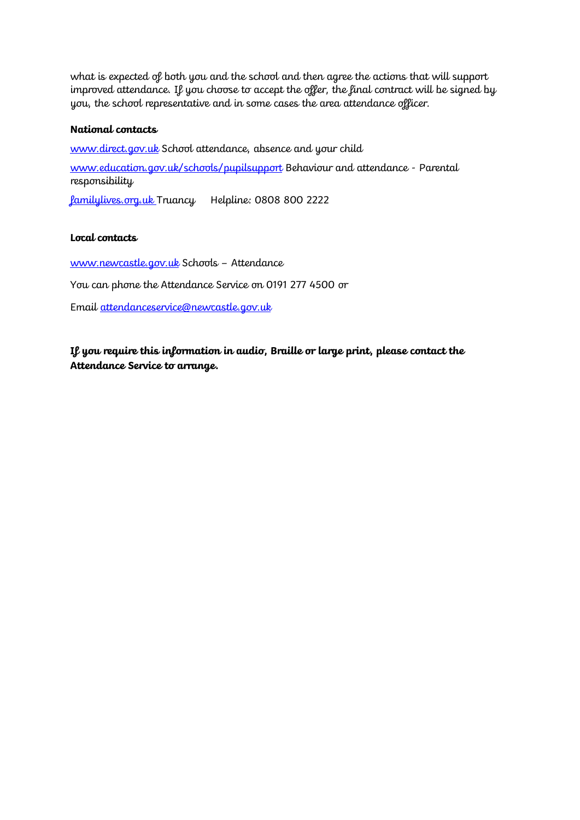what is expected of both you and the school and then agree the actions that will support improved attendance. If you choose to accept the offer, the final contract will be signed by you, the school representative and in some cases the area attendance officer.

#### **National contacts**

[www.direct.gov.uk](http://www.direct.gov.uk/) School attendance, absence and your child

[www.education.gov.uk/schools/pupilsupport](http://www.education.gov.uk/schools/pupilsupport) Behaviour and attendance - Parental responsibility

familylives.org.uk Truancy Helpline: 0808 800 2222

#### **Local contacts**

[www.newcastle.gov.uk](http://www.newcastle.gov.uk/) Schools – Attendance You can phone the Attendance Service on 0191 277 4500 or Email attendanceservice@newcastle.gov.uk

**If you require this information in audio, Braille or large print, please contact the Attendance Service to arrange.**